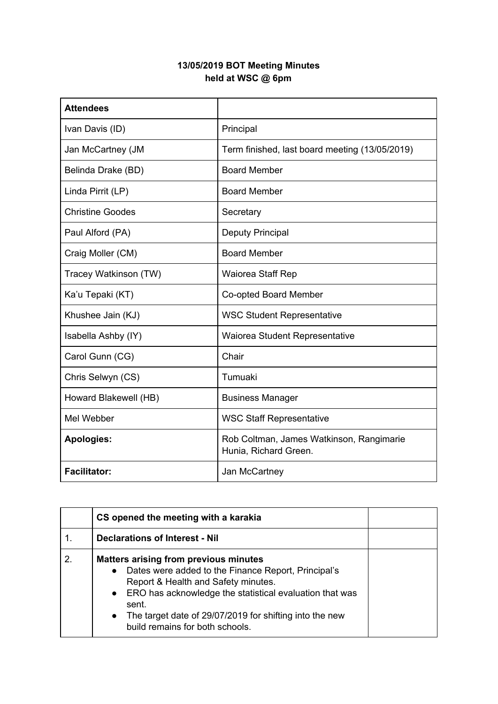## **13/05/2019 BOT Meeting Minutes held at WSC @ 6pm**

| <b>Attendees</b>        |                                                                   |
|-------------------------|-------------------------------------------------------------------|
| Ivan Davis (ID)         | Principal                                                         |
| Jan McCartney (JM       | Term finished, last board meeting (13/05/2019)                    |
| Belinda Drake (BD)      | <b>Board Member</b>                                               |
| Linda Pirrit (LP)       | <b>Board Member</b>                                               |
| <b>Christine Goodes</b> | Secretary                                                         |
| Paul Alford (PA)        | <b>Deputy Principal</b>                                           |
| Craig Moller (CM)       | <b>Board Member</b>                                               |
| Tracey Watkinson (TW)   | Waiorea Staff Rep                                                 |
| Ka'u Tepaki (KT)        | Co-opted Board Member                                             |
| Khushee Jain (KJ)       | <b>WSC Student Representative</b>                                 |
| Isabella Ashby (IY)     | Waiorea Student Representative                                    |
| Carol Gunn (CG)         | Chair                                                             |
| Chris Selwyn (CS)       | Tumuaki                                                           |
| Howard Blakewell (HB)   | <b>Business Manager</b>                                           |
| Mel Webber              | <b>WSC Staff Representative</b>                                   |
| <b>Apologies:</b>       | Rob Coltman, James Watkinson, Rangimarie<br>Hunia, Richard Green. |
| <b>Facilitator:</b>     | Jan McCartney                                                     |

|    | CS opened the meeting with a karakia                                                                                                                                                                                                                                                                                                     |  |
|----|------------------------------------------------------------------------------------------------------------------------------------------------------------------------------------------------------------------------------------------------------------------------------------------------------------------------------------------|--|
|    | <b>Declarations of Interest - Nil</b>                                                                                                                                                                                                                                                                                                    |  |
| 2. | <b>Matters arising from previous minutes</b><br>Dates were added to the Finance Report, Principal's<br>$\bullet$<br>Report & Health and Safety minutes.<br>• ERO has acknowledge the statistical evaluation that was<br>sent.<br>The target date of 29/07/2019 for shifting into the new<br>$\bullet$<br>build remains for both schools. |  |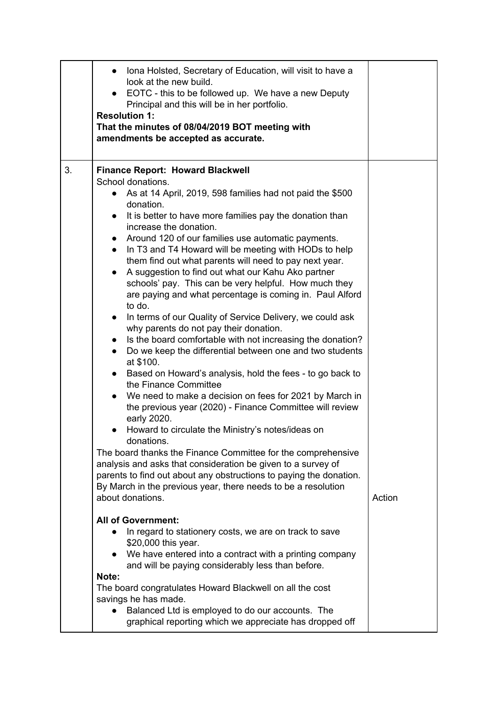|    | • Iona Holsted, Secretary of Education, will visit to have a<br>look at the new build.<br>• EOTC - this to be followed up. We have a new Deputy<br>Principal and this will be in her portfolio.<br><b>Resolution 1:</b><br>That the minutes of 08/04/2019 BOT meeting with<br>amendments be accepted as accurate.                                                                                                                                                                                                                                                                                                       |        |
|----|-------------------------------------------------------------------------------------------------------------------------------------------------------------------------------------------------------------------------------------------------------------------------------------------------------------------------------------------------------------------------------------------------------------------------------------------------------------------------------------------------------------------------------------------------------------------------------------------------------------------------|--------|
| 3. | <b>Finance Report: Howard Blackwell</b><br>School donations.<br>As at 14 April, 2019, 598 families had not paid the \$500<br>$\bullet$<br>donation.<br>It is better to have more families pay the donation than<br>$\bullet$<br>increase the donation.<br>Around 120 of our families use automatic payments.<br>In T3 and T4 Howard will be meeting with HODs to help<br>$\bullet$<br>them find out what parents will need to pay next year.<br>A suggestion to find out what our Kahu Ako partner<br>schools' pay. This can be very helpful. How much they<br>are paying and what percentage is coming in. Paul Alford |        |
|    | to do.<br>In terms of our Quality of Service Delivery, we could ask<br>why parents do not pay their donation.<br>Is the board comfortable with not increasing the donation?<br>$\bullet$<br>Do we keep the differential between one and two students<br>$\bullet$<br>at \$100.<br>Based on Howard's analysis, hold the fees - to go back to<br>$\bullet$<br>the Finance Committee<br>We need to make a decision on fees for 2021 by March in<br>the previous year (2020) - Finance Committee will review<br>early 2020.<br>Howard to circulate the Ministry's notes/ideas on                                            |        |
|    | donations.<br>The board thanks the Finance Committee for the comprehensive<br>analysis and asks that consideration be given to a survey of<br>parents to find out about any obstructions to paying the donation.<br>By March in the previous year, there needs to be a resolution<br>about donations.                                                                                                                                                                                                                                                                                                                   | Action |
|    | <b>All of Government:</b><br>In regard to stationery costs, we are on track to save<br>\$20,000 this year.<br>We have entered into a contract with a printing company<br>and will be paying considerably less than before.<br>Note:<br>The board congratulates Howard Blackwell on all the cost<br>savings he has made.<br>Balanced Ltd is employed to do our accounts. The<br>graphical reporting which we appreciate has dropped off                                                                                                                                                                                  |        |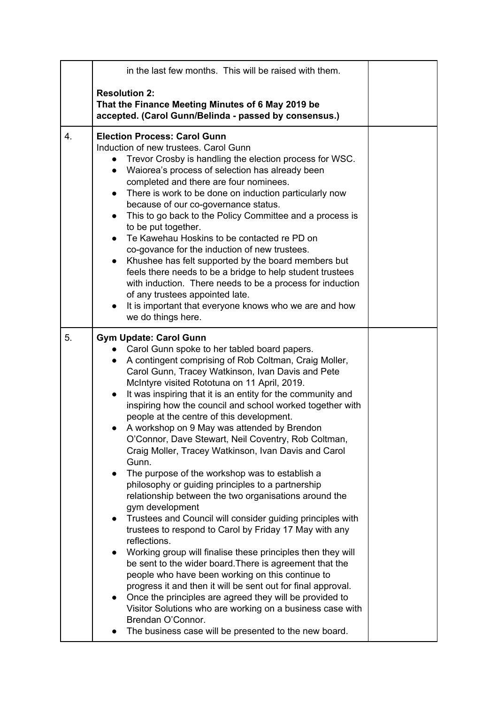|    | in the last few months. This will be raised with them.                                                                                                                                                                                                                                                                                                                                                                                                                                                                                                                                                                                                                                                                                                                                                                                                                                                                                                                                                                                                                                                                                                                                                                                                                                                                                                                                                                                                                |  |
|----|-----------------------------------------------------------------------------------------------------------------------------------------------------------------------------------------------------------------------------------------------------------------------------------------------------------------------------------------------------------------------------------------------------------------------------------------------------------------------------------------------------------------------------------------------------------------------------------------------------------------------------------------------------------------------------------------------------------------------------------------------------------------------------------------------------------------------------------------------------------------------------------------------------------------------------------------------------------------------------------------------------------------------------------------------------------------------------------------------------------------------------------------------------------------------------------------------------------------------------------------------------------------------------------------------------------------------------------------------------------------------------------------------------------------------------------------------------------------------|--|
|    | <b>Resolution 2:</b><br>That the Finance Meeting Minutes of 6 May 2019 be<br>accepted. (Carol Gunn/Belinda - passed by consensus.)                                                                                                                                                                                                                                                                                                                                                                                                                                                                                                                                                                                                                                                                                                                                                                                                                                                                                                                                                                                                                                                                                                                                                                                                                                                                                                                                    |  |
| 4. | <b>Election Process: Carol Gunn</b><br>Induction of new trustees. Carol Gunn<br>Trevor Crosby is handling the election process for WSC.<br>$\bullet$<br>Waiorea's process of selection has already been<br>$\bullet$<br>completed and there are four nominees.<br>There is work to be done on induction particularly now<br>$\bullet$<br>because of our co-governance status.<br>This to go back to the Policy Committee and a process is<br>$\bullet$<br>to be put together.<br>Te Kawehau Hoskins to be contacted re PD on<br>$\bullet$<br>co-govance for the induction of new trustees.<br>Khushee has felt supported by the board members but<br>$\bullet$<br>feels there needs to be a bridge to help student trustees<br>with induction. There needs to be a process for induction<br>of any trustees appointed late.<br>It is important that everyone knows who we are and how<br>$\bullet$<br>we do things here.                                                                                                                                                                                                                                                                                                                                                                                                                                                                                                                                              |  |
| 5. | <b>Gym Update: Carol Gunn</b><br>Carol Gunn spoke to her tabled board papers.<br>A contingent comprising of Rob Coltman, Craig Moller,<br>$\bullet$<br>Carol Gunn, Tracey Watkinson, Ivan Davis and Pete<br>McIntyre visited Rototuna on 11 April, 2019.<br>It was inspiring that it is an entity for the community and<br>$\bullet$<br>inspiring how the council and school worked together with<br>people at the centre of this development.<br>A workshop on 9 May was attended by Brendon<br>$\bullet$<br>O'Connor, Dave Stewart, Neil Coventry, Rob Coltman,<br>Craig Moller, Tracey Watkinson, Ivan Davis and Carol<br>Gunn.<br>The purpose of the workshop was to establish a<br>$\bullet$<br>philosophy or guiding principles to a partnership<br>relationship between the two organisations around the<br>gym development<br>Trustees and Council will consider guiding principles with<br>$\bullet$<br>trustees to respond to Carol by Friday 17 May with any<br>reflections.<br>Working group will finalise these principles then they will<br>$\bullet$<br>be sent to the wider board. There is agreement that the<br>people who have been working on this continue to<br>progress it and then it will be sent out for final approval.<br>Once the principles are agreed they will be provided to<br>$\bullet$<br>Visitor Solutions who are working on a business case with<br>Brendan O'Connor.<br>The business case will be presented to the new board. |  |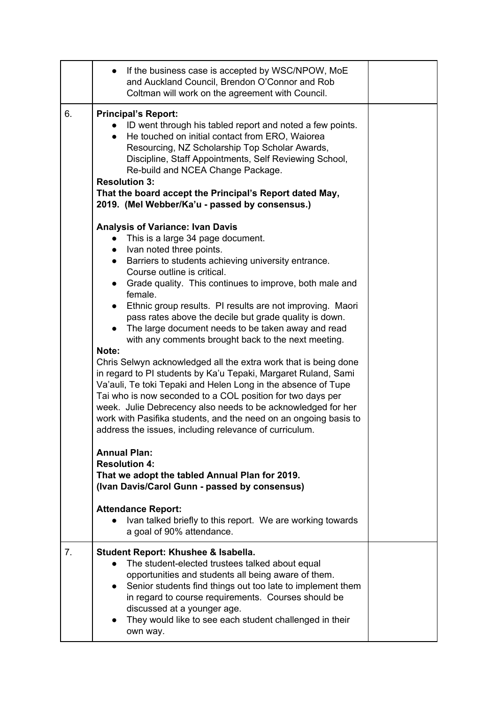|    | If the business case is accepted by WSC/NPOW, MoE<br>$\bullet$<br>and Auckland Council, Brendon O'Connor and Rob<br>Coltman will work on the agreement with Council.                                                                                                                                                                                                                                                                                                                                                                                                                                                                                                                                                                                                                                                                                                                                                                                                                                                                                                                                                        |  |
|----|-----------------------------------------------------------------------------------------------------------------------------------------------------------------------------------------------------------------------------------------------------------------------------------------------------------------------------------------------------------------------------------------------------------------------------------------------------------------------------------------------------------------------------------------------------------------------------------------------------------------------------------------------------------------------------------------------------------------------------------------------------------------------------------------------------------------------------------------------------------------------------------------------------------------------------------------------------------------------------------------------------------------------------------------------------------------------------------------------------------------------------|--|
| 6. | <b>Principal's Report:</b><br>ID went through his tabled report and noted a few points.<br>He touched on initial contact from ERO, Waiorea<br>Resourcing, NZ Scholarship Top Scholar Awards,<br>Discipline, Staff Appointments, Self Reviewing School,<br>Re-build and NCEA Change Package.<br><b>Resolution 3:</b><br>That the board accept the Principal's Report dated May,<br>2019. (Mel Webber/Ka'u - passed by consensus.)                                                                                                                                                                                                                                                                                                                                                                                                                                                                                                                                                                                                                                                                                            |  |
|    | <b>Analysis of Variance: Ivan Davis</b><br>This is a large 34 page document.<br>Ivan noted three points.<br>$\bullet$<br>Barriers to students achieving university entrance.<br>$\bullet$<br>Course outline is critical.<br>Grade quality. This continues to improve, both male and<br>$\bullet$<br>female.<br>Ethnic group results. PI results are not improving. Maori<br>pass rates above the decile but grade quality is down.<br>The large document needs to be taken away and read<br>with any comments brought back to the next meeting.<br>Note:<br>Chris Selwyn acknowledged all the extra work that is being done<br>in regard to PI students by Ka'u Tepaki, Margaret Ruland, Sami<br>Va'auli, Te toki Tepaki and Helen Long in the absence of Tupe<br>Tai who is now seconded to a COL position for two days per<br>week. Julie Debrecency also needs to be acknowledged for her<br>work with Pasifika students, and the need on an ongoing basis to<br>address the issues, including relevance of curriculum.<br><b>Annual Plan:</b><br><b>Resolution 4:</b><br>That we adopt the tabled Annual Plan for 2019. |  |
|    | (Ivan Davis/Carol Gunn - passed by consensus)<br><b>Attendance Report:</b><br>Ivan talked briefly to this report. We are working towards<br>a goal of 90% attendance.                                                                                                                                                                                                                                                                                                                                                                                                                                                                                                                                                                                                                                                                                                                                                                                                                                                                                                                                                       |  |
| 7. | Student Report: Khushee & Isabella.<br>The student-elected trustees talked about equal<br>opportunities and students all being aware of them.<br>Senior students find things out too late to implement them<br>in regard to course requirements. Courses should be<br>discussed at a younger age.<br>They would like to see each student challenged in their<br>own way.                                                                                                                                                                                                                                                                                                                                                                                                                                                                                                                                                                                                                                                                                                                                                    |  |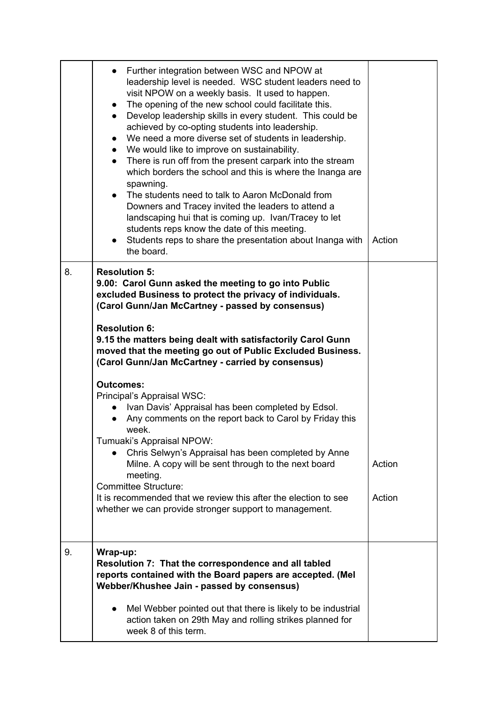|    | Further integration between WSC and NPOW at<br>$\bullet$<br>leadership level is needed. WSC student leaders need to<br>visit NPOW on a weekly basis. It used to happen.<br>• The opening of the new school could facilitate this.<br>• Develop leadership skills in every student. This could be<br>achieved by co-opting students into leadership.<br>We need a more diverse set of students in leadership.<br>$\bullet$<br>• We would like to improve on sustainability.<br>• There is run off from the present carpark into the stream<br>which borders the school and this is where the Inanga are<br>spawning.<br>• The students need to talk to Aaron McDonald from<br>Downers and Tracey invited the leaders to attend a<br>landscaping hui that is coming up. Ivan/Tracey to let<br>students reps know the date of this meeting.<br>• Students reps to share the presentation about Inanga with<br>the board. | Action           |
|----|-----------------------------------------------------------------------------------------------------------------------------------------------------------------------------------------------------------------------------------------------------------------------------------------------------------------------------------------------------------------------------------------------------------------------------------------------------------------------------------------------------------------------------------------------------------------------------------------------------------------------------------------------------------------------------------------------------------------------------------------------------------------------------------------------------------------------------------------------------------------------------------------------------------------------|------------------|
| 8. | <b>Resolution 5:</b><br>9.00: Carol Gunn asked the meeting to go into Public<br>excluded Business to protect the privacy of individuals.<br>(Carol Gunn/Jan McCartney - passed by consensus)<br><b>Resolution 6:</b><br>9.15 the matters being dealt with satisfactorily Carol Gunn<br>moved that the meeting go out of Public Excluded Business.<br>(Carol Gunn/Jan McCartney - carried by consensus)<br><b>Outcomes:</b><br>Principal's Appraisal WSC:<br>Ivan Davis' Appraisal has been completed by Edsol.<br>Any comments on the report back to Carol by Friday this<br>week.<br>Tumuaki's Appraisal NPOW:<br>Chris Selwyn's Appraisal has been completed by Anne                                                                                                                                                                                                                                                |                  |
|    | Milne. A copy will be sent through to the next board<br>meeting.<br><b>Committee Structure:</b><br>It is recommended that we review this after the election to see<br>whether we can provide stronger support to management.                                                                                                                                                                                                                                                                                                                                                                                                                                                                                                                                                                                                                                                                                          | Action<br>Action |
| 9. | Wrap-up:<br>Resolution 7: That the correspondence and all tabled<br>reports contained with the Board papers are accepted. (Mel<br>Webber/Khushee Jain - passed by consensus)<br>Mel Webber pointed out that there is likely to be industrial<br>$\bullet$<br>action taken on 29th May and rolling strikes planned for<br>week 8 of this term.                                                                                                                                                                                                                                                                                                                                                                                                                                                                                                                                                                         |                  |